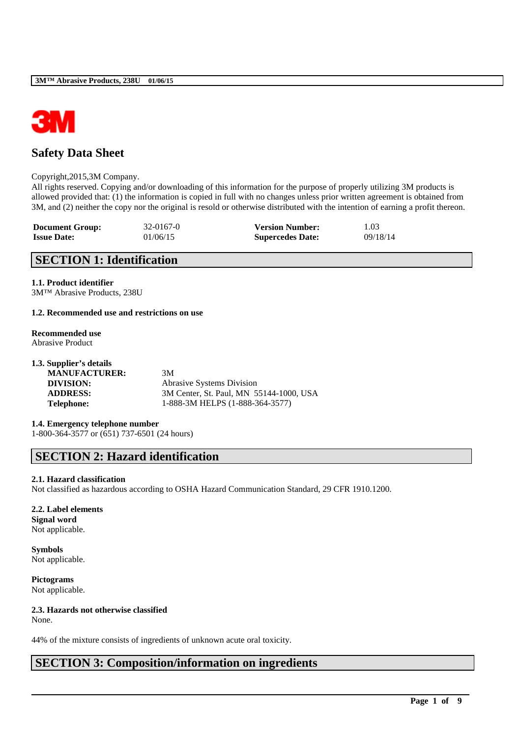

## **Safety Data Sheet**

### Copyright,2015,3M Company.

All rights reserved. Copying and/or downloading of this information for the purpose of properly utilizing 3M products is allowed provided that: (1) the information is copied in full with no changes unless prior written agreement is obtained from 3M, and (2) neither the copy nor the original is resold or otherwise distributed with the intention of earning a profit thereon.

| <b>Document Group:</b> | $32 - 0167 - 0$ | <b>Version Number:</b>  | 1.03     |
|------------------------|-----------------|-------------------------|----------|
| <b>Issue Date:</b>     | 01/06/15        | <b>Supercedes Date:</b> | 09/18/14 |

## **SECTION 1: Identification**

### **1.1. Product identifier**

3M™ Abrasive Products, 238U

### **1.2. Recommended use and restrictions on use**

# **Recommended use**

Abrasive Product

| 1.3. Supplier's details |                                         |
|-------------------------|-----------------------------------------|
| <b>MANUFACTURER:</b>    | 3M                                      |
| DIVISION:               | <b>Abrasive Systems Division</b>        |
| <b>ADDRESS:</b>         | 3M Center, St. Paul, MN 55144-1000, USA |
| <b>Telephone:</b>       | 1-888-3M HELPS (1-888-364-3577)         |
|                         |                                         |

**1.4. Emergency telephone number** 1-800-364-3577 or (651) 737-6501 (24 hours)

## **SECTION 2: Hazard identification**

### **2.1. Hazard classification**

Not classified as hazardous according to OSHA Hazard Communication Standard, 29 CFR 1910.1200.

\_\_\_\_\_\_\_\_\_\_\_\_\_\_\_\_\_\_\_\_\_\_\_\_\_\_\_\_\_\_\_\_\_\_\_\_\_\_\_\_\_\_\_\_\_\_\_\_\_\_\_\_\_\_\_\_\_\_\_\_\_\_\_\_\_\_\_\_\_\_\_\_\_\_\_\_\_\_\_\_\_\_\_\_\_\_\_\_\_\_

### **2.2. Label elements**

**Signal word** Not applicable.

**Symbols** Not applicable.

**Pictograms** Not applicable.

## **2.3. Hazards not otherwise classified**

None.

44% of the mixture consists of ingredients of unknown acute oral toxicity.

## **SECTION 3: Composition/information on ingredients**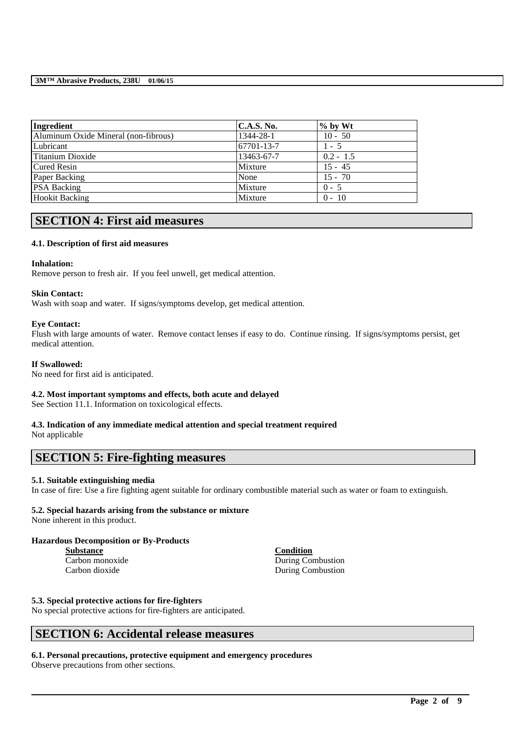| Ingredient                           | <b>C.A.S. No.</b> | $\%$ by Wt  |  |
|--------------------------------------|-------------------|-------------|--|
| Aluminum Oxide Mineral (non-fibrous) | 1344-28-1         | $10 - 50$   |  |
| Lubricant                            | 67701-13-7        | $1 - 5$     |  |
| Titanium Dioxide                     | 13463-67-7        | $0.2 - 1.5$ |  |
| <b>Cured Resin</b>                   | Mixture           | $15 - 45$   |  |
| Paper Backing                        | None              | $15 - 70$   |  |
| <b>PSA Backing</b>                   | Mixture           | $0 - 5$     |  |
| <b>Hookit Backing</b>                | Mixture           | $0 - 10$    |  |

## **SECTION 4: First aid measures**

### **4.1. Description of first aid measures**

### **Inhalation:**

Remove person to fresh air. If you feel unwell, get medical attention.

### **Skin Contact:**

Wash with soap and water. If signs/symptoms develop, get medical attention.

### **Eye Contact:**

Flush with large amounts of water. Remove contact lenses if easy to do. Continue rinsing. If signs/symptoms persist, get medical attention.

### **If Swallowed:**

No need for first aid is anticipated.

## **4.2. Most important symptoms and effects, both acute and delayed**

See Section 11.1. Information on toxicological effects.

## **4.3. Indication of any immediate medical attention and special treatment required**

Not applicable

## **SECTION 5: Fire-fighting measures**

### **5.1. Suitable extinguishing media**

In case of fire: Use a fire fighting agent suitable for ordinary combustible material such as water or foam to extinguish.

\_\_\_\_\_\_\_\_\_\_\_\_\_\_\_\_\_\_\_\_\_\_\_\_\_\_\_\_\_\_\_\_\_\_\_\_\_\_\_\_\_\_\_\_\_\_\_\_\_\_\_\_\_\_\_\_\_\_\_\_\_\_\_\_\_\_\_\_\_\_\_\_\_\_\_\_\_\_\_\_\_\_\_\_\_\_\_\_\_\_

## **5.2. Special hazards arising from the substance or mixture**

None inherent in this product.

### **Hazardous Decomposition or By-Products**

| <b>Substance</b> |  |
|------------------|--|
| Carbon monoxide  |  |
| Carbon dioxide   |  |

**Condition** During Combustion During Combustion

### **5.3. Special protective actions for fire-fighters**

No special protective actions for fire-fighters are anticipated.

## **SECTION 6: Accidental release measures**

### **6.1. Personal precautions, protective equipment and emergency procedures** Observe precautions from other sections.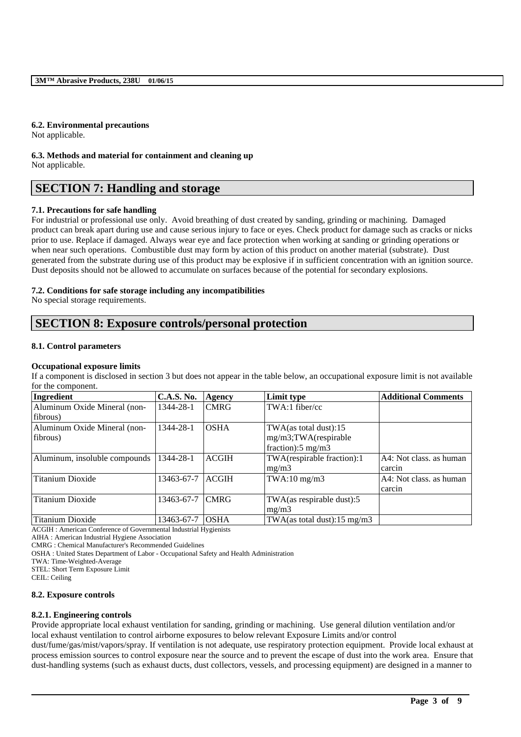### **6.2. Environmental precautions**

Not applicable.

**6.3. Methods and material for containment and cleaning up** Not applicable.

## **SECTION 7: Handling and storage**

### **7.1. Precautions for safe handling**

For industrial or professional use only. Avoid breathing of dust created by sanding, grinding or machining. Damaged product can break apart during use and cause serious injury to face or eyes. Check product for damage such as cracks or nicks prior to use. Replace if damaged. Always wear eye and face protection when working at sanding or grinding operations or when near such operations. Combustible dust may form by action of this product on another material (substrate). Dust generated from the substrate during use of this product may be explosive if in sufficient concentration with an ignition source. Dust deposits should not be allowed to accumulate on surfaces because of the potential for secondary explosions.

### **7.2. Conditions for safe storage including any incompatibilities**

No special storage requirements.

## **SECTION 8: Exposure controls/personal protection**

#### **8.1. Control parameters**

### **Occupational exposure limits**

If a component is disclosed in section 3 but does not appear in the table below, an occupational exposure limit is not available for the component.

| Ingredient                    | <b>C.A.S. No.</b> | Agency       | Limit type                    | <b>Additional Comments</b> |
|-------------------------------|-------------------|--------------|-------------------------------|----------------------------|
| Aluminum Oxide Mineral (non-  | 1344-28-1         | <b>CMRG</b>  | TWA:1 fiber/cc                |                            |
| fibrous)                      |                   |              |                               |                            |
| Aluminum Oxide Mineral (non-  | 1344-28-1         | <b>OSHA</b>  | TWA(as total dust):15         |                            |
| fibrous)                      |                   |              | mg/m3;TWA(respirable          |                            |
|                               |                   |              | fraction): $5 \text{ mg/m}$ 3 |                            |
| Aluminum, insoluble compounds | 1344-28-1         | <b>ACGIH</b> | TWA(respirable fraction):1    | A4: Not class, as human    |
|                               |                   |              | mg/m3                         | carcin                     |
| Titanium Dioxide              | 13463-67-7        | <b>ACGIH</b> | $TWA:10$ mg/m $3$             | A4: Not class, as human    |
|                               |                   |              |                               | carcin                     |
| <b>Titanium Dioxide</b>       | 13463-67-7        | <b>CMRG</b>  | TWA(as respirable dust):5     |                            |
|                               |                   |              | mg/m3                         |                            |
| Titanium Dioxide              | 13463-67-7        | <b>OSHA</b>  | TWA(as total dust):15 mg/m3   |                            |

ACGIH : American Conference of Governmental Industrial Hygienists

AIHA : American Industrial Hygiene Association

CMRG : Chemical Manufacturer's Recommended Guidelines

OSHA : United States Department of Labor - Occupational Safety and Health Administration

TWA: Time-Weighted-Average

STEL: Short Term Exposure Limit

CEIL: Ceiling

#### **8.2. Exposure controls**

#### **8.2.1. Engineering controls**

Provide appropriate local exhaust ventilation for sanding, grinding or machining. Use general dilution ventilation and/or local exhaust ventilation to control airborne exposures to below relevant Exposure Limits and/or control

dust/fume/gas/mist/vapors/spray. If ventilation is not adequate, use respiratory protection equipment. Provide local exhaust at process emission sources to control exposure near the source and to prevent the escape of dust into the work area. Ensure that dust-handling systems (such as exhaust ducts, dust collectors, vessels, and processing equipment) are designed in a manner to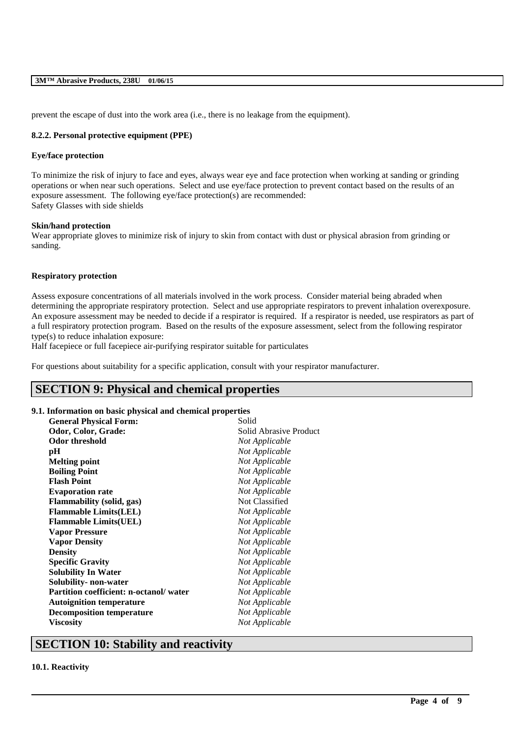prevent the escape of dust into the work area (i.e., there is no leakage from the equipment).

### **8.2.2. Personal protective equipment (PPE)**

### **Eye/face protection**

To minimize the risk of injury to face and eyes, always wear eye and face protection when working at sanding or grinding operations or when near such operations. Select and use eye/face protection to prevent contact based on the results of an exposure assessment. The following eye/face protection(s) are recommended: Safety Glasses with side shields

#### **Skin/hand protection**

Wear appropriate gloves to minimize risk of injury to skin from contact with dust or physical abrasion from grinding or sanding.

#### **Respiratory protection**

Assess exposure concentrations of all materials involved in the work process. Consider material being abraded when determining the appropriate respiratory protection. Select and use appropriate respirators to prevent inhalation overexposure. An exposure assessment may be needed to decide if a respirator is required. If a respirator is needed, use respirators as part of a full respiratory protection program. Based on the results of the exposure assessment, select from the following respirator type(s) to reduce inhalation exposure:

\_\_\_\_\_\_\_\_\_\_\_\_\_\_\_\_\_\_\_\_\_\_\_\_\_\_\_\_\_\_\_\_\_\_\_\_\_\_\_\_\_\_\_\_\_\_\_\_\_\_\_\_\_\_\_\_\_\_\_\_\_\_\_\_\_\_\_\_\_\_\_\_\_\_\_\_\_\_\_\_\_\_\_\_\_\_\_\_\_\_

Half facepiece or full facepiece air-purifying respirator suitable for particulates

For questions about suitability for a specific application, consult with your respirator manufacturer.

## **SECTION 9: Physical and chemical properties**

### **9.1. Information on basic physical and chemical properties**

| <b>General Physical Form:</b>                 | Solid                  |
|-----------------------------------------------|------------------------|
| Odor, Color, Grade:                           | Solid Abrasive Product |
| <b>Odor threshold</b>                         | Not Applicable         |
| pH                                            | Not Applicable         |
| <b>Melting point</b>                          | Not Applicable         |
| <b>Boiling Point</b>                          | Not Applicable         |
| <b>Flash Point</b>                            | Not Applicable         |
| <b>Evaporation rate</b>                       | Not Applicable         |
| Flammability (solid, gas)                     | Not Classified         |
| <b>Flammable Limits(LEL)</b>                  | Not Applicable         |
| <b>Flammable Limits(UEL)</b>                  | Not Applicable         |
| <b>Vapor Pressure</b>                         | Not Applicable         |
| <b>Vapor Density</b>                          | Not Applicable         |
| <b>Density</b>                                | Not Applicable         |
| <b>Specific Gravity</b>                       | Not Applicable         |
| <b>Solubility In Water</b>                    | Not Applicable         |
| Solubility- non-water                         | Not Applicable         |
| <b>Partition coefficient: n-octanol/water</b> | Not Applicable         |
| <b>Autoignition temperature</b>               | Not Applicable         |
| <b>Decomposition temperature</b>              | Not Applicable         |
| <b>Viscosity</b>                              | Not Applicable         |
|                                               |                        |

## **SECTION 10: Stability and reactivity**

### **10.1. Reactivity**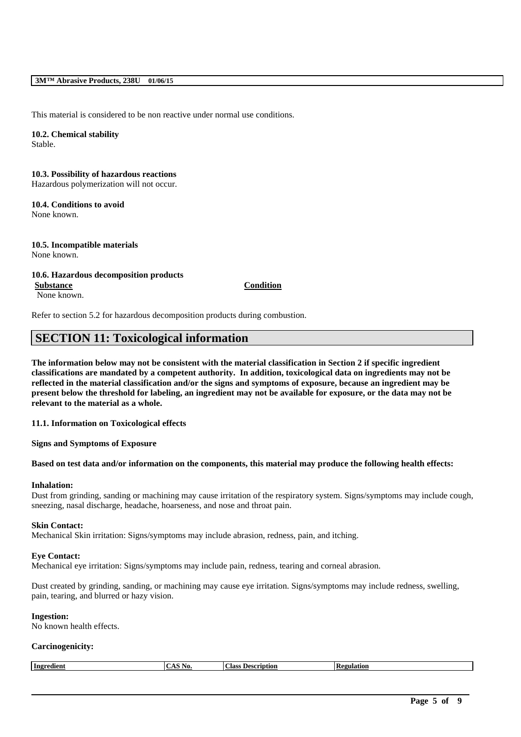#### **3M™ Abrasive Products, 238U 01/06/15**

This material is considered to be non reactive under normal use conditions.

### **10.2. Chemical stability** Stable.

**10.3. Possibility of hazardous reactions** Hazardous polymerization will not occur.

## **10.4. Conditions to avoid**

None known.

**10.5. Incompatible materials** None known.

### **10.6. Hazardous decomposition products**

**Substance Condition** None known.

Refer to section 5.2 for hazardous decomposition products during combustion.

## **SECTION 11: Toxicological information**

**The information below may not be consistent with the material classification in Section 2 if specific ingredient classifications are mandated by a competent authority. In addition, toxicological data on ingredients may not be reflected in the material classification and/or the signs and symptoms of exposure, because an ingredient may be present below the threshold for labeling, an ingredient may not be available for exposure, or the data may not be relevant to the material as a whole.**

**11.1. Information on Toxicological effects**

**Signs and Symptoms of Exposure**

### **Based on test data and/or information on the components, this material may produce the following health effects:**

### **Inhalation:**

Dust from grinding, sanding or machining may cause irritation of the respiratory system. Signs/symptoms may include cough, sneezing, nasal discharge, headache, hoarseness, and nose and throat pain.

#### **Skin Contact:**

Mechanical Skin irritation: Signs/symptoms may include abrasion, redness, pain, and itching.

#### **Eye Contact:**

Mechanical eye irritation: Signs/symptoms may include pain, redness, tearing and corneal abrasion.

Dust created by grinding, sanding, or machining may cause eye irritation. Signs/symptoms may include redness, swelling, pain, tearing, and blurred or hazy vision.

### **Ingestion:**

No known health effects.

### **Carcinogenicity:**

| Class<br>  Ingredient<br>Description<br>egulation.<br>AO. |
|-----------------------------------------------------------|
|-----------------------------------------------------------|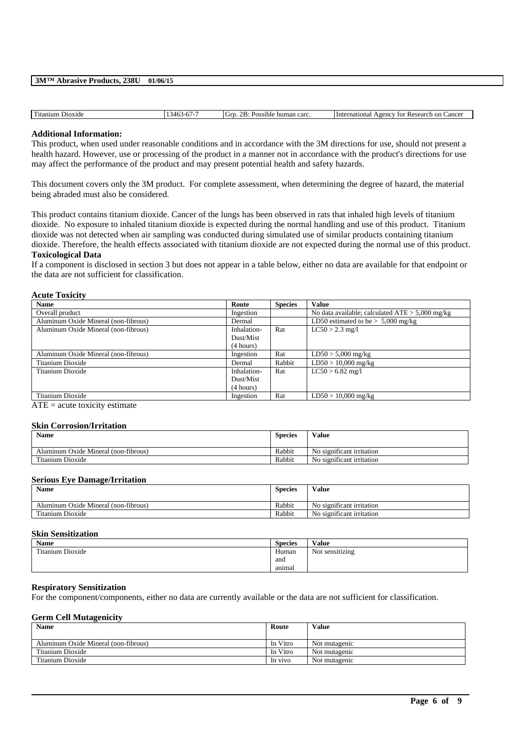| 3M™ Abrasive Products, 238U | 01/06/15 |
|-----------------------------|----------|
|                             |          |

| <b>TT'</b><br>Dioxide<br>Titanium | $\sim$<br>$\sim$<br>.<br>. . <i>.</i> . | human carc.<br>Gitt<br>1200<br>ossible. | Cancer<br>International<br><b>Research</b><br>on<br>Agency<br>tor<br>" |
|-----------------------------------|-----------------------------------------|-----------------------------------------|------------------------------------------------------------------------|
|                                   |                                         |                                         |                                                                        |

#### **Additional Information:**

This product, when used under reasonable conditions and in accordance with the 3M directions for use, should not present a health hazard. However, use or processing of the product in a manner not in accordance with the product's directions for use may affect the performance of the product and may present potential health and safety hazards.

This document covers only the 3M product. For complete assessment, when determining the degree of hazard, the material being abraded must also be considered.

This product contains titanium dioxide. Cancer of the lungs has been observed in rats that inhaled high levels of titanium dioxide. No exposure to inhaled titanium dioxide is expected during the normal handling and use of this product. Titanium dioxide was not detected when air sampling was conducted during simulated use of similar products containing titanium dioxide. Therefore, the health effects associated with titanium dioxide are not expected during the normal use of this product. **Toxicological Data**

### If a component is disclosed in section 3 but does not appear in a table below, either no data are available for that endpoint or the data are not sufficient for classification.

### **Acute Toxicity**

| <b>Name</b>                          | Route       | <b>Species</b> | <b>Value</b>                                      |
|--------------------------------------|-------------|----------------|---------------------------------------------------|
| Overall product                      | Ingestion   |                | No data available; calculated $ATE > 5,000$ mg/kg |
| Aluminum Oxide Mineral (non-fibrous) | Dermal      |                | LD50 estimated to be $> 5,000$ mg/kg              |
| Aluminum Oxide Mineral (non-fibrous) | Inhalation- | Rat            | $LC50 > 2.3$ mg/l                                 |
|                                      | Dust/Mist   |                |                                                   |
|                                      | (4 hours)   |                |                                                   |
| Aluminum Oxide Mineral (non-fibrous) | Ingestion   | Rat            | $LD50 > 5,000$ mg/kg                              |
| Titanium Dioxide                     | Dermal      | Rabbit         | $LD50 > 10,000$ mg/kg                             |
| Titanium Dioxide                     | Inhalation- | Rat            | $LC50 > 6.82$ mg/l                                |
|                                      | Dust/Mist   |                |                                                   |
|                                      | (4 hours)   |                |                                                   |
| Titanium Dioxide                     | Ingestion   | Rat            | $LD50 > 10,000$ mg/kg                             |

 $ATE = acute$  toxicity estimate

### **Skin Corrosion/Irritation**

| <b>Name</b>                          | <b>Species</b> | Value                                |
|--------------------------------------|----------------|--------------------------------------|
| Aluminum Oxide Mineral (non-fibrous) | Rabbit         | No significant irritation            |
| Titanium Dioxide                     | Rabbit         | $\cdot$<br>No significant irritation |

### **Serious Eye Damage/Irritation**

| <b>Name</b>                          | <b>Species</b> | Value                     |
|--------------------------------------|----------------|---------------------------|
| Aluminum Oxide Mineral (non-fibrous) | Rabbit         | No significant irritation |
| Titanium Dioxide                     | Rabbit         | No significant irritation |

### **Skin Sensitization**

| Name                       | <b>Species</b> | Value           |
|----------------------------|----------------|-----------------|
| rent a<br>Titanium Dioxide | Human          | Not sensitizing |
|                            | and            |                 |
|                            | animal         |                 |

#### **Respiratory Sensitization**

For the component/components, either no data are currently available or the data are not sufficient for classification.

### **Germ Cell Mutagenicity**

| <b>Name</b>                          | Route    | <b>Value</b>  |
|--------------------------------------|----------|---------------|
| Aluminum Oxide Mineral (non-fibrous) | In Vitro | Not mutagenic |
| Titanium Dioxide                     | In Vitro | Not mutagenic |
| Titanium Dioxide                     | In vivo  | Not mutagenic |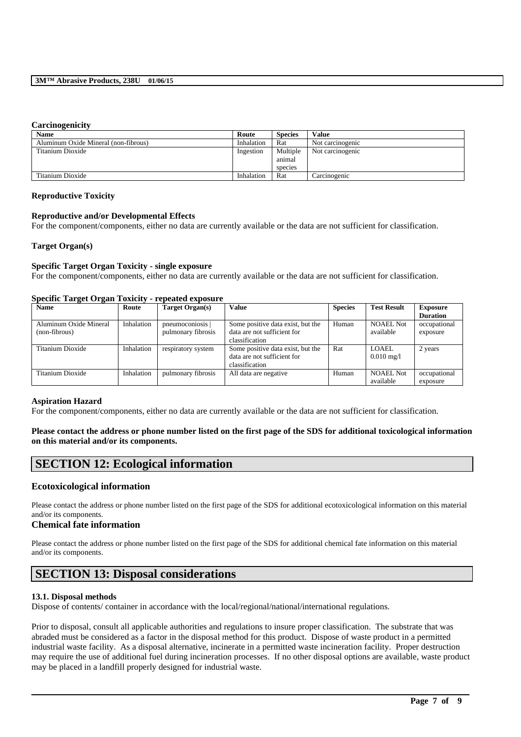#### **Carcinogenicity**

| -                                    |            |                |                  |
|--------------------------------------|------------|----------------|------------------|
| Name                                 | Route      | <b>Species</b> | Value            |
| Aluminum Oxide Mineral (non-fibrous) | Inhalation | Rat            | Not carcinogenic |
| Titanium Dioxide                     | Ingestion  | Multiple       | Not carcinogenic |
|                                      |            | animal         |                  |
|                                      |            | species        |                  |
| Titanium Dioxide                     | Inhalation | Rat            | Carcinogenic     |

#### **Reproductive Toxicity**

### **Reproductive and/or Developmental Effects**

For the component/components, either no data are currently available or the data are not sufficient for classification.

### **Target Organ(s)**

### **Specific Target Organ Toxicity - single exposure**

For the component/components, either no data are currently available or the data are not sufficient for classification.

### **Specific Target Organ Toxicity - repeated exposure**

| $\sim$                 |            |                    |                                   |                |                         |                                    |
|------------------------|------------|--------------------|-----------------------------------|----------------|-------------------------|------------------------------------|
| <b>Name</b>            | Route      | Target Organ(s)    | <b>Value</b>                      | <b>Species</b> | <b>Test Result</b>      | <b>Exposure</b><br><b>Duration</b> |
|                        |            |                    |                                   |                |                         |                                    |
| Aluminum Oxide Mineral | Inhalation | pneumoconiosis     | Some positive data exist, but the | Human          | <b>NOAEL Not</b>        | occupational                       |
| (non-fibrous)          |            | pulmonary fibrosis | data are not sufficient for       |                | available               | exposure                           |
|                        |            |                    | classification                    |                |                         |                                    |
| Titanium Dioxide       | Inhalation | respiratory system | Some positive data exist, but the | Rat            | <b>LOAEL</b>            | 2 years                            |
|                        |            |                    | data are not sufficient for       |                | $0.010 \,\mathrm{mg}/l$ |                                    |
|                        |            |                    | classification                    |                |                         |                                    |
| Titanium Dioxide       | Inhalation | pulmonary fibrosis | All data are negative             | Human          | <b>NOAEL Not</b>        | occupational                       |
|                        |            |                    |                                   |                | available               | exposure                           |

### **Aspiration Hazard**

For the component/components, either no data are currently available or the data are not sufficient for classification.

### **Please contact the address or phone number listed on the first page of the SDS for additional toxicological information on this material and/or its components.**

## **SECTION 12: Ecological information**

### **Ecotoxicological information**

Please contact the address or phone number listed on the first page of the SDS for additional ecotoxicological information on this material and/or its components.

### **Chemical fate information**

Please contact the address or phone number listed on the first page of the SDS for additional chemical fate information on this material and/or its components.

## **SECTION 13: Disposal considerations**

#### **13.1. Disposal methods**

Dispose of contents/ container in accordance with the local/regional/national/international regulations.

Prior to disposal, consult all applicable authorities and regulations to insure proper classification. The substrate that was abraded must be considered as a factor in the disposal method for this product. Dispose of waste product in a permitted industrial waste facility. As a disposal alternative, incinerate in a permitted waste incineration facility. Proper destruction may require the use of additional fuel during incineration processes. If no other disposal options are available, waste product may be placed in a landfill properly designed for industrial waste.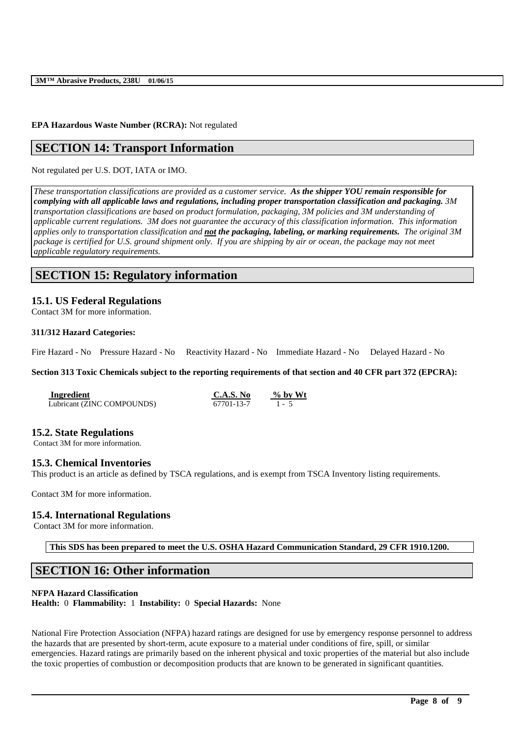### **EPA Hazardous Waste Number (RCRA):** Not regulated

## **SECTION 14: Transport Information**

Not regulated per U.S. DOT, IATA or IMO.

*These transportation classifications are provided as a customer service. As the shipper YOU remain responsible for complying with all applicable laws and regulations, including proper transportation classification and packaging. 3M transportation classifications are based on product formulation, packaging, 3M policies and 3M understanding of applicable current regulations. 3M does not guarantee the accuracy of this classification information. This information applies only to transportation classification and not the packaging, labeling, or marking requirements. The original 3M package is certified for U.S. ground shipment only. If you are shipping by air or ocean, the package may not meet applicable regulatory requirements.* 

## **SECTION 15: Regulatory information**

## **15.1. US Federal Regulations**

Contact 3M for more information.

#### **311/312 Hazard Categories:**

Fire Hazard - No Pressure Hazard - No Reactivity Hazard - No Immediate Hazard - No Delayed Hazard - No

#### **Section 313 Toxic Chemicals subject to the reporting requirements of that section and 40 CFR part 372 (EPCRA):**

| Ingredient                 | C.A.S. No  | $\%$ by Wt |
|----------------------------|------------|------------|
| Lubricant (ZINC COMPOUNDS) | 67701-13-7 | $1 - 5$    |

### **15.2. State Regulations**

Contact 3M for more information.

#### **15.3. Chemical Inventories**

This product is an article as defined by TSCA regulations, and is exempt from TSCA Inventory listing requirements.

Contact 3M for more information.

### **15.4. International Regulations**

Contact 3M for more information.

**This SDS has been prepared to meet the U.S. OSHA Hazard Communication Standard, 29 CFR 1910.1200.**

## **SECTION 16: Other information**

### **NFPA Hazard Classification**

**Health:** 0 **Flammability:** 1 **Instability:** 0 **Special Hazards:** None

National Fire Protection Association (NFPA) hazard ratings are designed for use by emergency response personnel to address the hazards that are presented by short-term, acute exposure to a material under conditions of fire, spill, or similar emergencies. Hazard ratings are primarily based on the inherent physical and toxic properties of the material but also include the toxic properties of combustion or decomposition products that are known to be generated in significant quantities.